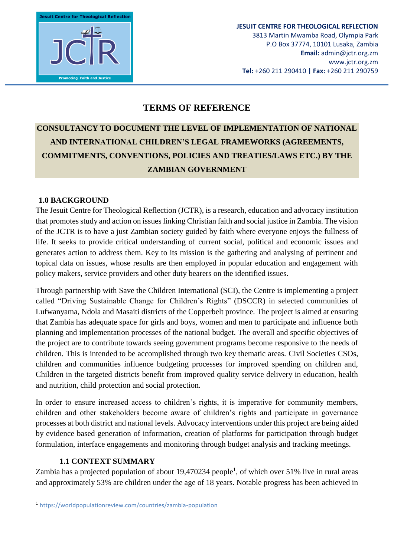**Jesuit Centre for Theological Reflection Promoting Faith and Justice** 

# **TERMS OF REFERENCE**

# **CONSULTANCY TO DOCUMENT THE LEVEL OF IMPLEMENTATION OF NATIONAL AND INTERNATIONAL CHILDREN'S LEGAL FRAMEWORKS (AGREEMENTS, COMMITMENTS, CONVENTIONS, POLICIES AND TREATIES/LAWS ETC.) BY THE ZAMBIAN GOVERNMENT**

#### **1.0 BACKGROUND**

The Jesuit Centre for Theological Reflection (JCTR), is a research, education and advocacy institution that promotes study and action on issues linking Christian faith and social justice in Zambia. The vision of the JCTR is to have a just Zambian society guided by faith where everyone enjoys the fullness of life. It seeks to provide critical understanding of current social, political and economic issues and generates action to address them. Key to its mission is the gathering and analysing of pertinent and topical data on issues, whose results are then employed in popular education and engagement with policy makers, service providers and other duty bearers on the identified issues.

Through partnership with Save the Children International (SCI), the Centre is implementing a project called "Driving Sustainable Change for Children's Rights" (DSCCR) in selected communities of Lufwanyama, Ndola and Masaiti districts of the Copperbelt province. The project is aimed at ensuring that Zambia has adequate space for girls and boys, women and men to participate and influence both planning and implementation processes of the national budget. The overall and specific objectives of the project are to contribute towards seeing government programs become responsive to the needs of children. This is intended to be accomplished through two key thematic areas. Civil Societies CSOs, children and communities influence budgeting processes for improved spending on children and, Children in the targeted districts benefit from improved quality service delivery in education, health and nutrition, child protection and social protection.

In order to ensure increased access to children's rights, it is imperative for community members, children and other stakeholders become aware of children's rights and participate in governance processes at both district and national levels. Advocacy interventions under this project are being aided by evidence based generation of information, creation of platforms for participation through budget formulation, interface engagements and monitoring through budget analysis and tracking meetings.

## **1.1 CONTEXT SUMMARY**

**.** 

Zambia has a projected population of about 19,470234 people<sup>1</sup>, of which over 51% live in rural areas and approximately 53% are children under the age of 18 years. Notable progress has been achieved in

<sup>1</sup> https://worldpopulationreview.com/countries/zambia-population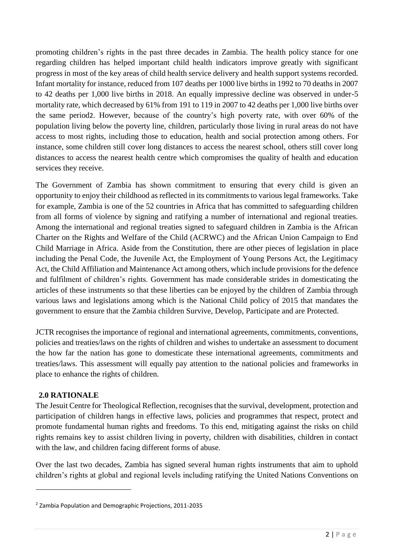promoting children's rights in the past three decades in Zambia. The health policy stance for one regarding children has helped important child health indicators improve greatly with significant progress in most of the key areas of child health service delivery and health support systems recorded. Infant mortality for instance, reduced from 107 deaths per 1000 live births in 1992 to 70 deaths in 2007 to 42 deaths per 1,000 live births in 2018. An equally impressive decline was observed in under-5 mortality rate, which decreased by 61% from 191 to 119 in 2007 to 42 deaths per 1,000 live births over the same period2. However, because of the country's high poverty rate, with over 60% of the population living below the poverty line, children, particularly those living in rural areas do not have access to most rights, including those to education, health and social protection among others. For instance, some children still cover long distances to access the nearest school, others still cover long distances to access the nearest health centre which compromises the quality of health and education services they receive.

The Government of Zambia has shown commitment to ensuring that every child is given an opportunity to enjoy their childhood as reflected in its commitments to various legal frameworks. Take for example, Zambia is one of the 52 countries in Africa that has committed to safeguarding children from all forms of violence by signing and ratifying a number of international and regional treaties. Among the international and regional treaties signed to safeguard children in Zambia is the African Charter on the Rights and Welfare of the Child (ACRWC) and the African Union Campaign to End Child Marriage in Africa. Aside from the Constitution, there are other pieces of legislation in place including the Penal Code, the Juvenile Act, the Employment of Young Persons Act, the Legitimacy Act, the Child Affiliation and Maintenance Act among others, which include provisions for the defence and fulfilment of children's rights. Government has made considerable strides in domesticating the articles of these instruments so that these liberties can be enjoyed by the children of Zambia through various laws and legislations among which is the National Child policy of 2015 that mandates the government to ensure that the Zambia children Survive, Develop, Participate and are Protected.

JCTR recognises the importance of regional and international agreements, commitments, conventions, policies and treaties/laws on the rights of children and wishes to undertake an assessment to document the how far the nation has gone to domesticate these international agreements, commitments and treaties/laws. This assessment will equally pay attention to the national policies and frameworks in place to enhance the rights of children.

## **2.0 RATIONALE**

1

The Jesuit Centre for Theological Reflection, recognises that the survival, development, protection and participation of children hangs in effective laws, policies and programmes that respect, protect and promote fundamental human rights and freedoms. To this end, mitigating against the risks on child rights remains key to assist children living in poverty, children with disabilities, children in contact with the law, and children facing different forms of abuse.

Over the last two decades, Zambia has signed several human rights instruments that aim to uphold children's rights at global and regional levels including ratifying the United Nations Conventions on

<sup>2</sup> Zambia Population and Demographic Projections, 2011-2035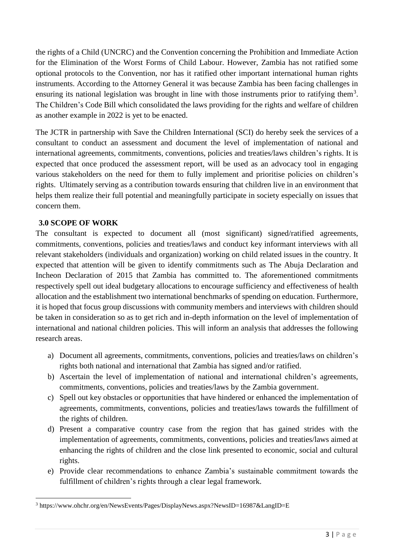the rights of a Child (UNCRC) and the Convention concerning the Prohibition and Immediate Action for the Elimination of the Worst Forms of Child Labour. However, Zambia has not ratified some optional protocols to the Convention, nor has it ratified other important international human rights instruments. According to the Attorney General it was because Zambia has been facing challenges in ensuring its national legislation was brought in line with those instruments prior to ratifying them<sup>3</sup>. The Children's Code Bill which consolidated the laws providing for the rights and welfare of children as another example in 2022 is yet to be enacted.

The JCTR in partnership with Save the Children International (SCI) do hereby seek the services of a consultant to conduct an assessment and document the level of implementation of national and international agreements, commitments, conventions, policies and treaties/laws children's rights. It is expected that once produced the assessment report, will be used as an advocacy tool in engaging various stakeholders on the need for them to fully implement and prioritise policies on children's rights. Ultimately serving as a contribution towards ensuring that children live in an environment that helps them realize their full potential and meaningfully participate in society especially on issues that concern them.

#### **3.0 SCOPE OF WORK**

**.** 

The consultant is expected to document all (most significant) signed/ratified agreements, commitments, conventions, policies and treaties/laws and conduct key informant interviews with all relevant stakeholders (individuals and organization) working on child related issues in the country. It expected that attention will be given to identify commitments such as The Abuja Declaration and Incheon Declaration of 2015 that Zambia has committed to. The aforementioned commitments respectively spell out ideal budgetary allocations to encourage sufficiency and effectiveness of health allocation and the establishment two international benchmarks of spending on education. Furthermore, it is hoped that focus group discussions with community members and interviews with children should be taken in consideration so as to get rich and in-depth information on the level of implementation of international and national children policies. This will inform an analysis that addresses the following research areas.

- a) Document all agreements, commitments, conventions, policies and treaties/laws on children's rights both national and international that Zambia has signed and/or ratified.
- b) Ascertain the level of implementation of national and international children's agreements, commitments, conventions, policies and treaties/laws by the Zambia government.
- c) Spell out key obstacles or opportunities that have hindered or enhanced the implementation of agreements, commitments, conventions, policies and treaties/laws towards the fulfillment of the rights of children.
- d) Present a comparative country case from the region that has gained strides with the implementation of agreements, commitments, conventions, policies and treaties/laws aimed at enhancing the rights of children and the close link presented to economic, social and cultural rights.
- e) Provide clear recommendations to enhance Zambia's sustainable commitment towards the fulfillment of children's rights through a clear legal framework.

<sup>&</sup>lt;sup>3</sup> https://www.ohchr.org/en/NewsEvents/Pages/DisplayNews.aspx?NewsID=16987&LangID=E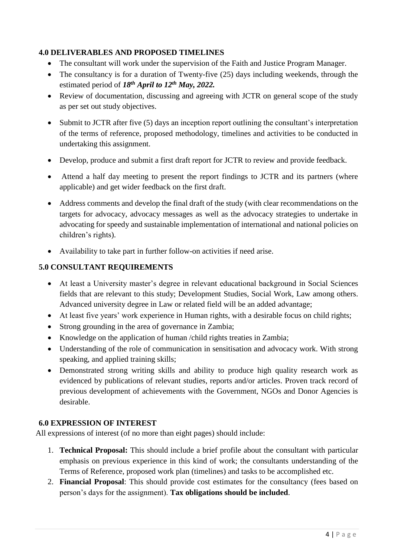#### **4.0 DELIVERABLES AND PROPOSED TIMELINES**

- The consultant will work under the supervision of the Faith and Justice Program Manager.
- The consultancy is for a duration of Twenty-five (25) days including weekends, through the estimated period of *18 th April to 12th May, 2022.*
- Review of documentation, discussing and agreeing with JCTR on general scope of the study as per set out study objectives.
- Submit to JCTR after five (5) days an inception report outlining the consultant's interpretation of the terms of reference, proposed methodology, timelines and activities to be conducted in undertaking this assignment.
- Develop, produce and submit a first draft report for JCTR to review and provide feedback.
- Attend a half day meeting to present the report findings to JCTR and its partners (where applicable) and get wider feedback on the first draft.
- Address comments and develop the final draft of the study (with clear recommendations on the targets for advocacy, advocacy messages as well as the advocacy strategies to undertake in advocating for speedy and sustainable implementation of international and national policies on children's rights).
- Availability to take part in further follow-on activities if need arise.

#### **5.0 CONSULTANT REQUIREMENTS**

- At least a University master's degree in relevant educational background in Social Sciences fields that are relevant to this study; Development Studies, Social Work, Law among others. Advanced university degree in Law or related field will be an added advantage;
- At least five years' work experience in Human rights, with a desirable focus on child rights;
- Strong grounding in the area of governance in Zambia;
- Knowledge on the application of human /child rights treaties in Zambia;
- Understanding of the role of communication in sensitisation and advocacy work. With strong speaking, and applied training skills;
- Demonstrated strong writing skills and ability to produce high quality research work as evidenced by publications of relevant studies, reports and/or articles. Proven track record of previous development of achievements with the Government, NGOs and Donor Agencies is desirable.

#### **6.0 EXPRESSION OF INTEREST**

All expressions of interest (of no more than eight pages) should include:

- 1. **Technical Proposal:** This should include a brief profile about the consultant with particular emphasis on previous experience in this kind of work; the consultants understanding of the Terms of Reference, proposed work plan (timelines) and tasks to be accomplished etc.
- 2. **Financial Proposal**: This should provide cost estimates for the consultancy (fees based on person's days for the assignment). **Tax obligations should be included**.